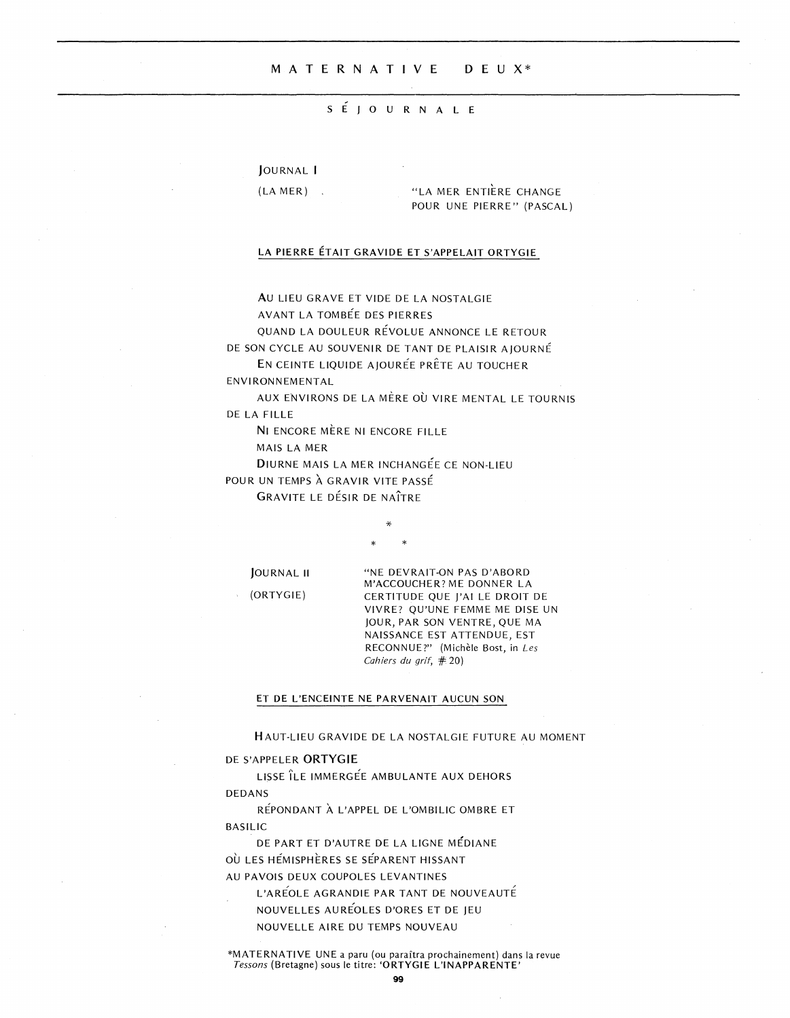## MATERNATIVE DEUX\*

### SÉJOURNALE

JOURNAL I

 $(LA MER)$ .

"LA MER ENTIÈRE CHANGE POUR UNE PIERRE" (PASCAL)

# LA PIERRE ÉTAIT GRAVIDE ET S'APPELAIT ORTYGIE

AU LIEU GRAVE ET VIDE DE LA NOSTALGIE AVANT LA TOMBÉE DES PIERRES

QUAND LA DOULEUR RÉVOLUE ANNONCE LE RETOUR

DE SON CYCLE AU SOUVENIR DE TANT DE PLAISIR AJOURNÉ

EN CEINTE LIQUIDE AJOURÉE PRÊTE AU TOUCHER ENVIRONNEMENTAL

AUX ENVIRONS DE LA MÈRE OÙ VIRE MENTAL LE TOURNIS DE LA FILLE

NI ENCORE MÈRE NI ENCORE FILLE

MAIS LA MER

DIURNE MAIS LA MER INCHANGÉE CE NON-LIEU

POUR UN TEMPS À GRAVIR VITE PASSÉ

**GRAVITE LE DÉSIR DE NAÎTRE** 

JOURNAL II

(ORTYGIE)

"NE DEVRAIT-ON PAS D'ABORD M'ACCOUCHER? ME DONNER LA CERTITUDE QUE J'AI LE DROIT DE VIVRE? QU'UNE FEMME ME DISE UN JOUR, PAR SON VENTRE, QUE MA NAISSANCE EST ATTENDUE, EST RECONNUE?" (Michèle Bost, in Les Cahiers du grif, #20)

#### ET DE L'ENCEINTE NE PARVENAIT AUCUN SON

HAUT-LIEU GRAVIDE DE LA NOSTALGIE FUTURE AU MOMENT

#### DE S'APPELER ORTYGIE

LISSE ÎLE IMMERGÉE AMBULANTE AUX DEHORS **DEDANS** 

RÉPONDANT À L'APPEL DE L'OMBILIC OMBRE ET **BASILIC** 

DE PART ET D'AUTRE DE LA LIGNE MÉDIANE OÙ LES HÉMISPHÈRES SE SÉPARENT HISSANT AU PAVOIS DEUX COUPOLES LEVANTINES

L'AREOLE AGRANDIE PAR TANT DE NOUVEAUTÉ NOUVELLES AURÉOLES D'ORES ET DE JEU NOUVELLE AIRE DU TEMPS NOUVEAU

\*MATERNATIVE UNE a paru (ou paraîtra prochainement) dans la revue Tessons (Bretagne) sous le titre: 'ORTYGIE L'INAPPARENTE'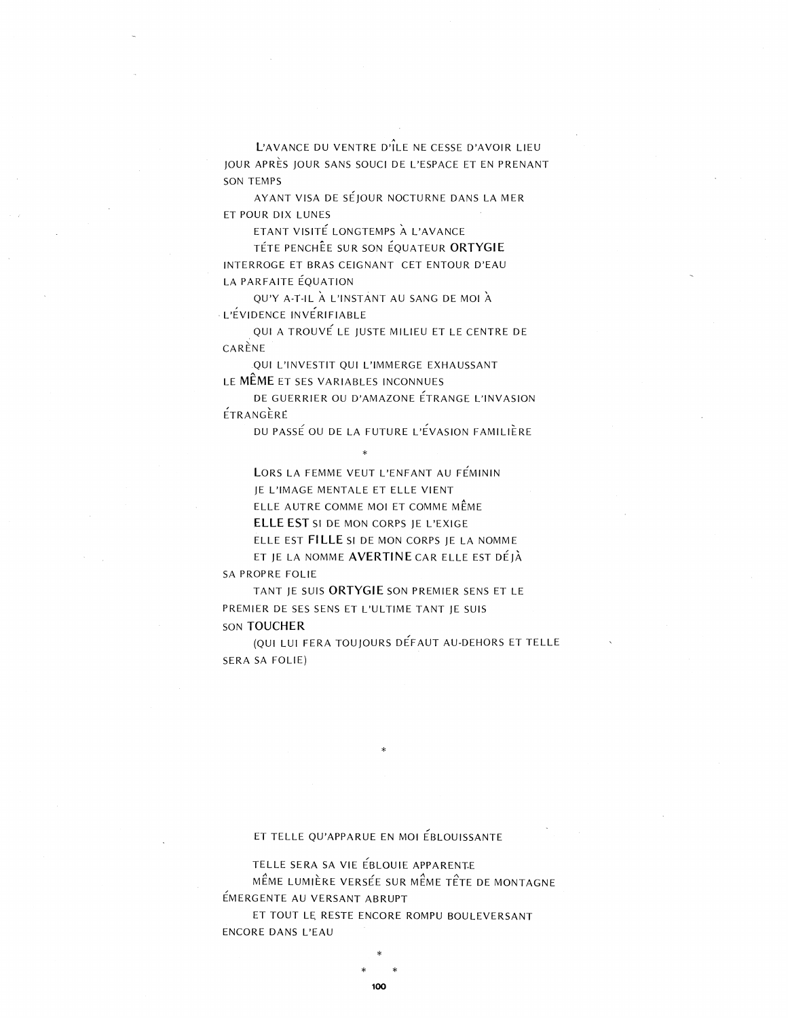L'AVANCE DU VENTRE D'ILE NE CESSE D'AVOIR LIEU JOUR APRES JOUR SANS SOUCI DE L'ESPACE ET EN PRENANT SON TEMPS

AYANT VISA DE SEjOUR NOCTURNE DANS LA MER ET POUR DIX LUNES

.<br>ETANT VISITÉ LONGTEMPS À L'AVANCE

TETE PENCHEE SUR SON EQUATEUR **ORTYGIE** INTERROGE ET BRAS CEIGNANT CET ENTOUR D'EAU LA PARFAITE EQUATION

QU'Y A-T-IL À L'INSTANT AU SANG DE MOI À L'ÉVIDENCE INVÉRIFIABLE

,QUI A TROUVE LE JUSTE MILIEU ET LE CENTRE DE CARENE

QUI L'INVESTIT QUI L'IMMERGE EXHAUSSANT LE **MEME** ET SES VARIABLES INCONNUES

DE GUERRIER OU D'AMAZONE ÉTRANGE L'INVASION ETRANGERE

DU PASSE OU DE LA FUTURE L'EVASION FAMILIERE

LORS LA FEMME VEUT L'ENFANT AU FÉMININ

jE L'IMAGE MENTALE ET ELLE VIENT

ELLE AUTRE COMME MOl ET COMME MEME

\*

**ELLE EST** SI DE MON CORPS jE L'EXIGE

ELLE EST FILLE SI DE MON CORPS JE LA NOMME

ET jE LA NOMME **AVERTINE** CAR ELLE EST DEJA SA PROPRE FOLIE

TANT jE SUIS **ORTYGIE** SON PREMIER SENS ET LE PREMIER DE SES SENS ET L'ULTIME TANT jE SUIS SON **TOUCHER**

(QUI LUI FERA TOUjOURS DEFAUT AU-DEHORS ET TELLE SERA SA FOLIE)

## ET TELLE QU'APPARUE EN MOl EBLOUISSANTE

\*

TELLE SERA SA VIE EBLOUIE APPARENT.E

MÊME LUMIÈRE VERSÉE SUR MÊME TÊTE DE MONTAGNE EMERGENTE AU VERSANT ABRUPT

ET TOUT LE RESTE ENCORE ROMPU BOULEVERSANT ENCORE DANS L'EAU

\*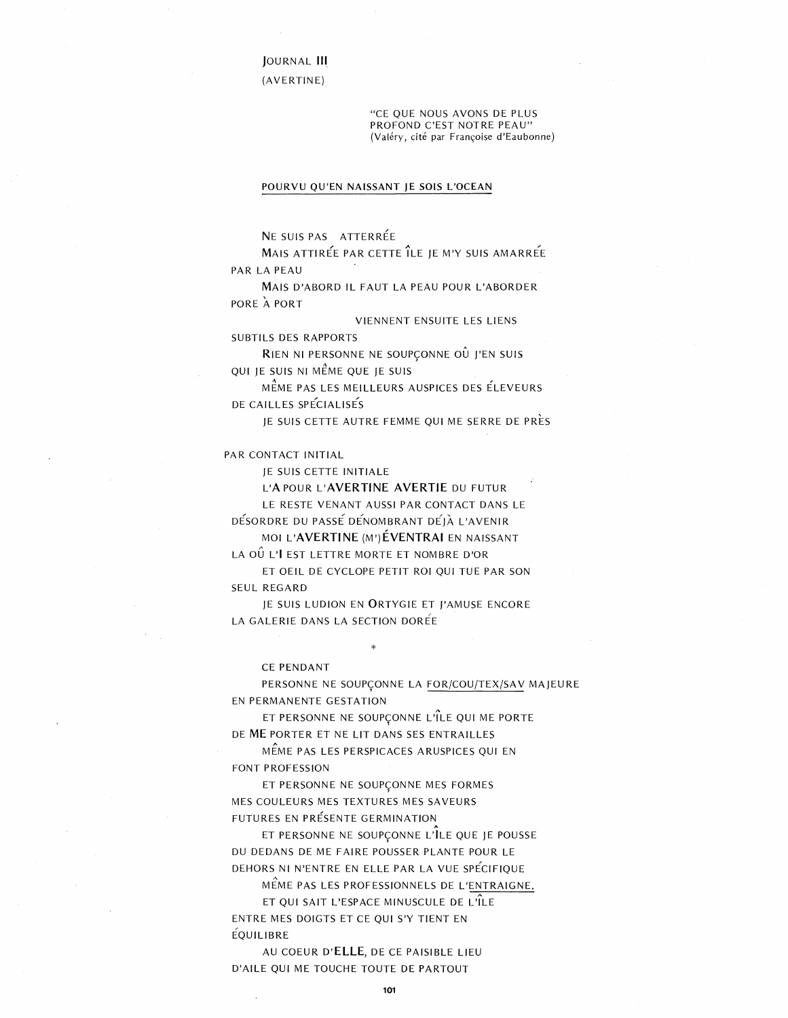JOURNAL III

 $(AVERTINE)$ 

"CE QUE NOUS AVONS DE PLUS PROFOND C'EST NOTRE PEAU" (Valéry, cité par Françoise d'Eaubonne)

#### POURVU QU'EN NAISSANT JE SOIS L'OCEAN

NE SUIS PAS ATTERRÉE

MAIS ATTIRÉE PAR CETTE ÎLE JE M'Y SUIS AMARRÉE PAR LA PEAU

MAIS D'ABORD IL FAUT LA PEAU POUR L'ABORDER PORE A PORT

VIENNENT ENSUITE LES LIENS

SUBTILS DES RAPPORTS RIEN NI PERSONNE NE SOUPÇONNE OÙ J'EN SUIS

QUI JE SUIS NI MÊME QUE JE SUIS

MÊME PAS LES MEILLEURS AUSPICES DES ÉLEVEURS DE CAILLES SPÉCIALISÉS

JE SUIS CETTE AUTRE FEMME QUI ME SERRE DE PRÈS

PAR CONTACT INITIAL

JE SUIS CETTE INITIALE

L'APOUR L'AVERTINE AVERTIE DU FUTUR

LE RESTE VENANT AUSSI PAR CONTACT DANS LE DÉSORDRE DU PASSE DENOMBRANT DEJÀ L'AVENIR

MOI L'AVERTINE (M') ÉVENTRAI EN NAISSANT

LA OU L'I EST LETTRE MORTE ET NOMBRE D'OR ET OEIL DE CYCLOPE PETIT ROI OUI TUE PAR SON

SEUL REGARD

JE SUIS LUDION EN ORTYGIE ET J'AMUSE ENCORE LA GALERIE DANS LA SECTION DORÉE

CE PENDANT

PERSONNE NE SOUPCONNE LA FOR/COU/TEX/SAV MAJEURE EN PERMANENTE GESTATION

ET PERSONNE NE SOUPÇONNE L'ÎLE QUI ME PORTE DE ME PORTER ET NE LIT DANS SES ENTRAILLES

MÊME PAS LES PERSPICACES ARUSPICES QUI EN FONT PROFESSION

ET PERSONNE NE SOUPÇONNE MES FORMES MES COULEURS MES TEXTURES MES SAVEURS FUTURES EN PRÉSENTE GERMINATION

ET PERSONNE NE SOUPÇONNE L'ÎLE QUE JE POUSSE DU DEDANS DE ME FAIRE POUSSER PLANTE POUR LE DEHORS NI N'ENTRE EN ELLE PAR LA VUE SPÉCIFIQUE

MÊME PAS LES PROFESSIONNELS DE L'ENTRAIGNE. ET QUI SAIT L'ESPACE MINUSCULE DE L'ÎLE ENTRE MES DOIGTS ET CE QUI S'Y TIENT EN **ÉQUILIBRE** 

AU COEUR D'ELLE, DE CE PAISIBLE LIEU D'AILE QUI ME TOUCHE TOUTE DE PARTOUT

101